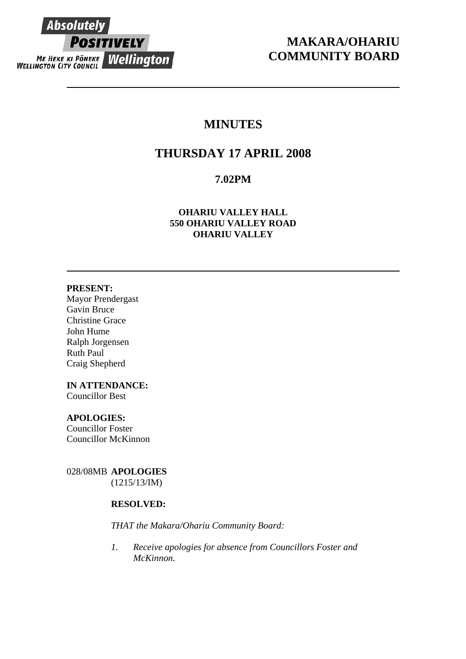

# **MAKARA/OHARIU COMMUNITY BOARD**

# **MINUTES**

# **THURSDAY 17 APRIL 2008**

# **7.02PM**

# **OHARIU VALLEY HALL 550 OHARIU VALLEY ROAD OHARIU VALLEY**

## **PRESENT:**

Mayor Prendergast Gavin Bruce Christine Grace John Hume Ralph Jorgensen Ruth Paul Craig Shepherd

# **IN ATTENDANCE:**

Councillor Best

# **APOLOGIES:**

Councillor Foster Councillor McKinnon

028/08MB **APOLOGIES** (1215/13/IM)

# **RESOLVED:**

*THAT the Makara/Ohariu Community Board:* 

*1. Receive apologies for absence from Councillors Foster and McKinnon.*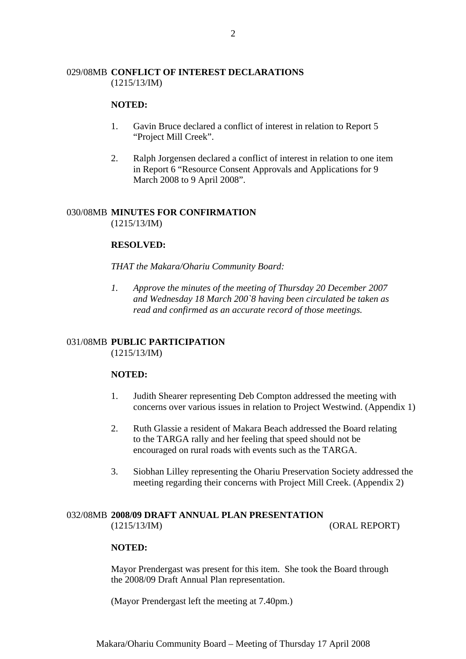# 029/08MB **CONFLICT OF INTEREST DECLARATIONS** (1215/13/IM)

## **NOTED:**

- 1. Gavin Bruce declared a conflict of interest in relation to Report 5 "Project Mill Creek".
- 2. Ralph Jorgensen declared a conflict of interest in relation to one item in Report 6 "Resource Consent Approvals and Applications for 9 March 2008 to 9 April 2008".

# 030/08MB **MINUTES FOR CONFIRMATION**

(1215/13/IM)

# **RESOLVED:**

#### *THAT the Makara/Ohariu Community Board:*

*1. Approve the minutes of the meeting of Thursday 20 December 2007 and Wednesday 18 March 200`8 having been circulated be taken as read and confirmed as an accurate record of those meetings.* 

# 031/08MB **PUBLIC PARTICIPATION**

(1215/13/IM)

## **NOTED:**

- 1. Judith Shearer representing Deb Compton addressed the meeting with concerns over various issues in relation to Project Westwind. (Appendix 1)
- 2. Ruth Glassie a resident of Makara Beach addressed the Board relating to the TARGA rally and her feeling that speed should not be encouraged on rural roads with events such as the TARGA.
- 3. Siobhan Lilley representing the Ohariu Preservation Society addressed the meeting regarding their concerns with Project Mill Creek. (Appendix 2)

## 032/08MB **2008/09 DRAFT ANNUAL PLAN PRESENTATION**  (1215/13/IM) (ORAL REPORT)

#### **NOTED:**

Mayor Prendergast was present for this item. She took the Board through the 2008/09 Draft Annual Plan representation.

(Mayor Prendergast left the meeting at 7.40pm.)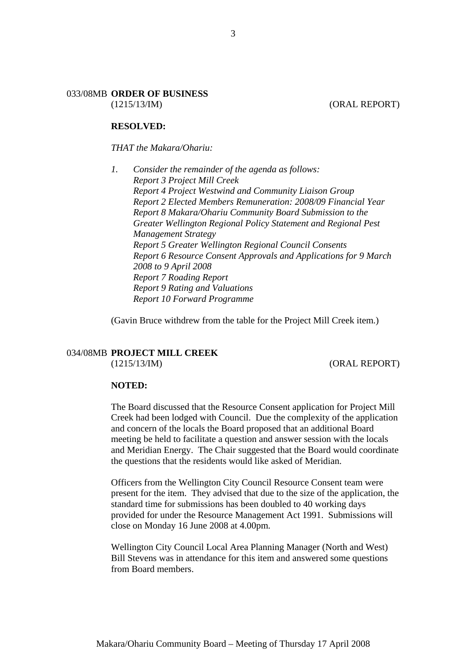#### 033/08MB **ORDER OF BUSINESS** (1215/13/IM) (ORAL REPORT)

#### **RESOLVED:**

#### *THAT the Makara/Ohariu:*

*1. Consider the remainder of the agenda as follows: Report 3 Project Mill Creek Report 4 Project Westwind and Community Liaison Group Report 2 Elected Members Remuneration: 2008/09 Financial Year Report 8 Makara/Ohariu Community Board Submission to the Greater Wellington Regional Policy Statement and Regional Pest Management Strategy Report 5 Greater Wellington Regional Council Consents Report 6 Resource Consent Approvals and Applications for 9 March 2008 to 9 April 2008 Report 7 Roading Report Report 9 Rating and Valuations Report 10 Forward Programme* 

(Gavin Bruce withdrew from the table for the Project Mill Creek item.)

# 034/08MB **PROJECT MILL CREEK**

(1215/13/IM) (ORAL REPORT)

#### **NOTED:**

The Board discussed that the Resource Consent application for Project Mill Creek had been lodged with Council. Due the complexity of the application and concern of the locals the Board proposed that an additional Board meeting be held to facilitate a question and answer session with the locals and Meridian Energy. The Chair suggested that the Board would coordinate the questions that the residents would like asked of Meridian.

Officers from the Wellington City Council Resource Consent team were present for the item. They advised that due to the size of the application, the standard time for submissions has been doubled to 40 working days provided for under the Resource Management Act 1991. Submissions will close on Monday 16 June 2008 at 4.00pm.

Wellington City Council Local Area Planning Manager (North and West) Bill Stevens was in attendance for this item and answered some questions from Board members.

3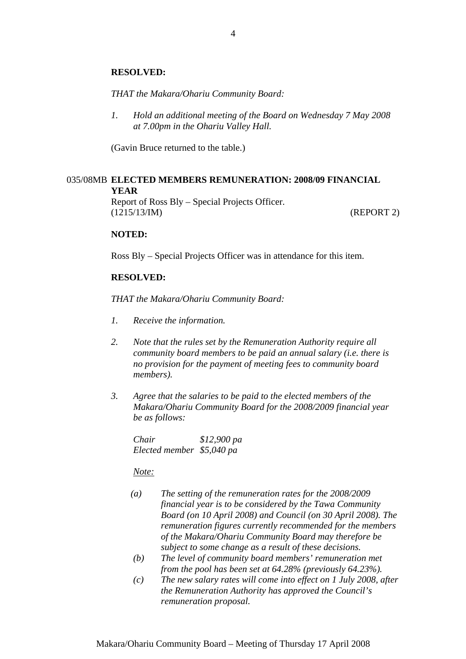#### **RESOLVED:**

*THAT the Makara/Ohariu Community Board:* 

*1. Hold an additional meeting of the Board on Wednesday 7 May 2008 at 7.00pm in the Ohariu Valley Hall.* 

(Gavin Bruce returned to the table.)

#### 035/08MB **ELECTED MEMBERS REMUNERATION: 2008/09 FINANCIAL YEAR**

Report of Ross Bly – Special Projects Officer. (1215/13/IM) (REPORT 2)

#### **NOTED:**

Ross Bly – Special Projects Officer was in attendance for this item.

#### **RESOLVED:**

*THAT the Makara/Ohariu Community Board:* 

- *1. Receive the information.*
- *2. Note that the rules set by the Remuneration Authority require all community board members to be paid an annual salary (i.e. there is no provision for the payment of meeting fees to community board members).*
- *3. Agree that the salaries to be paid to the elected members of the Makara/Ohariu Community Board for the 2008/2009 financial year be as follows:*

*Chair \$12,900 pa Elected member \$5,040 pa* 

*Note:* 

- *(a) The setting of the remuneration rates for the 2008/2009 financial year is to be considered by the Tawa Community Board (on 10 April 2008) and Council (on 30 April 2008). The remuneration figures currently recommended for the members of the Makara/Ohariu Community Board may therefore be subject to some change as a result of these decisions.*
- *(b) The level of community board members' remuneration met from the pool has been set at 64.28% (previously 64.23%).*
- *(c) The new salary rates will come into effect on 1 July 2008, after the Remuneration Authority has approved the Council's remuneration proposal.*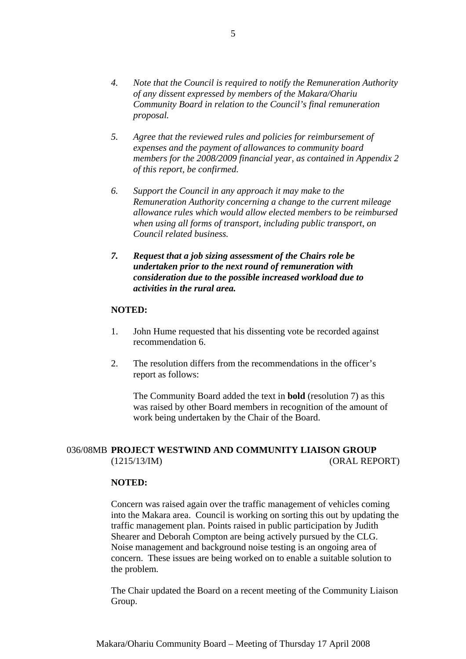- *4. Note that the Council is required to notify the Remuneration Authority of any dissent expressed by members of the Makara/Ohariu Community Board in relation to the Council's final remuneration proposal.*
- *5. Agree that the reviewed rules and policies for reimbursement of expenses and the payment of allowances to community board members for the 2008/2009 financial year, as contained in Appendix 2 of this report, be confirmed.*
- *6. Support the Council in any approach it may make to the Remuneration Authority concerning a change to the current mileage allowance rules which would allow elected members to be reimbursed when using all forms of transport, including public transport, on Council related business.*
- *7. Request that a job sizing assessment of the Chairs role be undertaken prior to the next round of remuneration with consideration due to the possible increased workload due to activities in the rural area.*

#### **NOTED:**

- 1. John Hume requested that his dissenting vote be recorded against recommendation 6.
- 2. The resolution differs from the recommendations in the officer's report as follows:

The Community Board added the text in **bold** (resolution 7) as this was raised by other Board members in recognition of the amount of work being undertaken by the Chair of the Board.

# 036/08MB **PROJECT WESTWIND AND COMMUNITY LIAISON GROUP** (1215/13/IM) (ORAL REPORT)

#### **NOTED:**

Concern was raised again over the traffic management of vehicles coming into the Makara area. Council is working on sorting this out by updating the traffic management plan. Points raised in public participation by Judith Shearer and Deborah Compton are being actively pursued by the CLG. Noise management and background noise testing is an ongoing area of concern. These issues are being worked on to enable a suitable solution to the problem.

The Chair updated the Board on a recent meeting of the Community Liaison Group.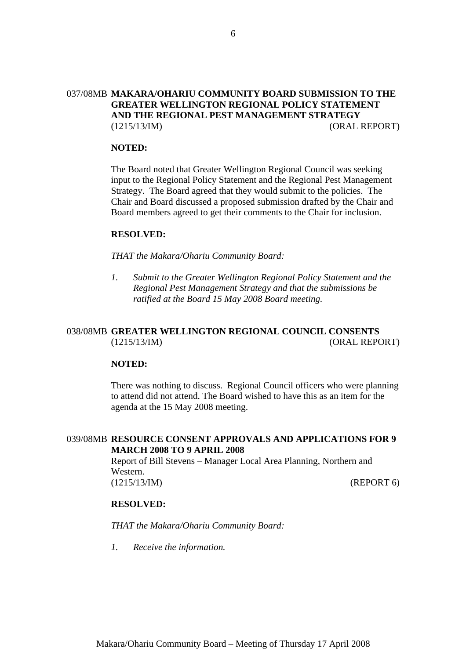# 037/08MB **MAKARA/OHARIU COMMUNITY BOARD SUBMISSION TO THE GREATER WELLINGTON REGIONAL POLICY STATEMENT AND THE REGIONAL PEST MANAGEMENT STRATEGY** (1215/13/IM) (ORAL REPORT)

#### **NOTED:**

The Board noted that Greater Wellington Regional Council was seeking input to the Regional Policy Statement and the Regional Pest Management Strategy. The Board agreed that they would submit to the policies. The Chair and Board discussed a proposed submission drafted by the Chair and Board members agreed to get their comments to the Chair for inclusion.

#### **RESOLVED:**

*THAT the Makara/Ohariu Community Board:* 

*1. Submit to the Greater Wellington Regional Policy Statement and the Regional Pest Management Strategy and that the submissions be ratified at the Board 15 May 2008 Board meeting.* 

# 038/08MB **GREATER WELLINGTON REGIONAL COUNCIL CONSENTS** (1215/13/IM) (ORAL REPORT)

## **NOTED:**

There was nothing to discuss. Regional Council officers who were planning to attend did not attend. The Board wished to have this as an item for the agenda at the 15 May 2008 meeting.

## 039/08MB **RESOURCE CONSENT APPROVALS AND APPLICATIONS FOR 9 MARCH 2008 TO 9 APRIL 2008**

Report of Bill Stevens – Manager Local Area Planning, Northern and Western. (1215/13/IM) (REPORT 6)

#### **RESOLVED:**

*THAT the Makara/Ohariu Community Board:* 

*1. Receive the information.*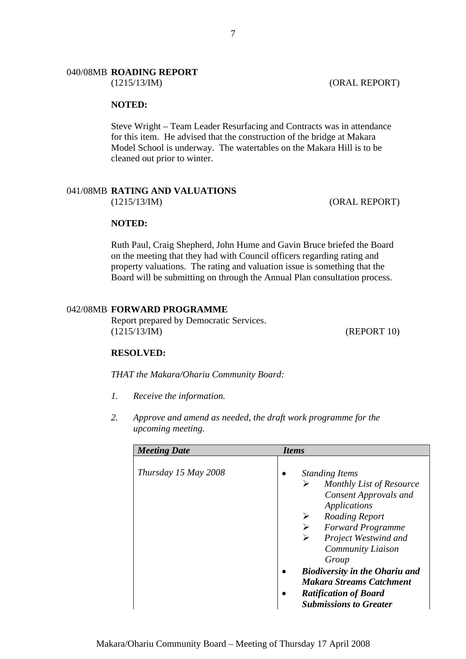#### 040/08MB **ROADING REPORT**

#### **NOTED:**

Steve Wright – Team Leader Resurfacing and Contracts was in attendance for this item. He advised that the construction of the bridge at Makara Model School is underway. The watertables on the Makara Hill is to be cleaned out prior to winter.

#### 041/08MB **RATING AND VALUATIONS** (1215/13/IM) (ORAL REPORT)

#### **NOTED:**

Ruth Paul, Craig Shepherd, John Hume and Gavin Bruce briefed the Board on the meeting that they had with Council officers regarding rating and property valuations. The rating and valuation issue is something that the Board will be submitting on through the Annual Plan consultation process.

#### 042/08MB **FORWARD PROGRAMME**

Report prepared by Democratic Services. (1215/13/IM) (REPORT 10)

#### **RESOLVED:**

*THAT the Makara/Ohariu Community Board:* 

- *1. Receive the information.*
- *2. Approve and amend as needed, the draft work programme for the upcoming meeting.*

| <b>Meeting Date</b>  | <i>Items</i>                                                                                                                                                                                                                                                                                                                                                             |
|----------------------|--------------------------------------------------------------------------------------------------------------------------------------------------------------------------------------------------------------------------------------------------------------------------------------------------------------------------------------------------------------------------|
| Thursday 15 May 2008 | <b>Standing Items</b><br>Monthly List of Resource<br>➤<br><b>Consent Approvals and</b><br>Applications<br>Roading Report<br><b>Forward Programme</b><br>➤<br>Project Westwind and<br>➤<br><b>Community Liaison</b><br>Group<br><b>Biodiversity in the Ohariu and</b><br><b>Makara Streams Catchment</b><br><b>Ratification of Board</b><br><b>Submissions to Greater</b> |

(1215/13/IM) (ORAL REPORT)